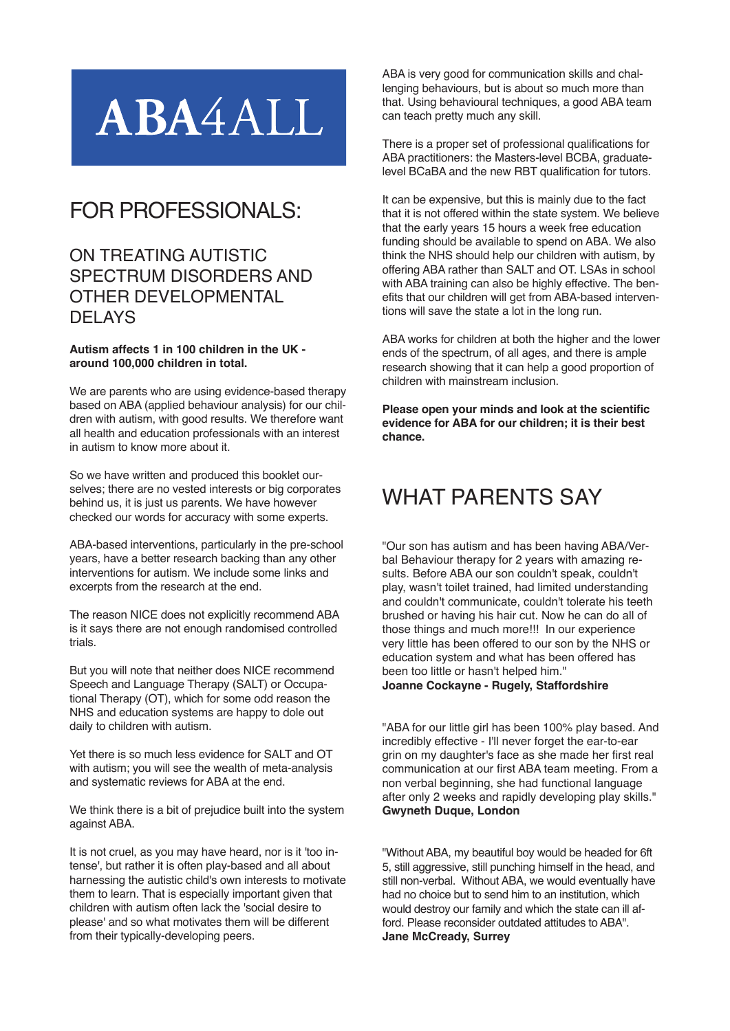### FOR PROFESSIONALS:

### ON TReATINg AUTISTIC SPECTRUM DISORDERS AND OTHeR DeVeLOpMeNTAL DELAYS

#### **Autism affects 1 in 100 children in the UK around 100,000 children in total.**

We are parents who are using evidence-based therapy based on ABA (applied behaviour analysis) for our children with autism, with good results. We therefore want all health and education professionals with an interest in autism to know more about it.

So we have written and produced this booklet ourselves; there are no vested interests or big corporates behind us, it is just us parents. We have however checked our words for accuracy with some experts.

ABA-based interventions, particularly in the pre-school years, have a better research backing than any other interventions for autism. We include some links and excerpts from the research at the end.

The reason NICE does not explicitly recommend ABA is it says there are not enough randomised controlled trials.

But you will note that neither does NICE recommend Speech and Language Therapy (SALT) or Occupational Therapy (OT), which for some odd reason the NHS and education systems are happy to dole out daily to children with autism.

Yet there is so much less evidence for SALT and OT with autism; you will see the wealth of meta-analysis and systematic reviews for ABA at the end.

We think there is a bit of prejudice built into the system against ABA.

It is not cruel, as you may have heard, nor is it 'too intense', but rather it is often play-based and all about harnessing the autistic child's own interests to motivate them to learn. That is especially important given that children with autism often lack the 'social desire to please' and so what motivates them will be different from their typically-developing peers.

ABA is very good for communication skills and challenging behaviours, but is about so much more than that. Using behavioural techniques, a good ABA team can teach pretty much any skill.

There is a proper set of professional qualifications for ABA practitioners: the Masters-level BCBA, graduatelevel BCaBA and the new RBT qualification for tutors.

It can be expensive, but this is mainly due to the fact that it is not offered within the state system. We believe that the early years 15 hours a week free education funding should be available to spend on ABA. We also think the NHS should help our children with autism, by offering ABA rather than SALT and OT. LSAs in school with ABA training can also be highly effective. The benefits that our children will get from ABA-based interventions will save the state a lot in the long run.

ABA works for children at both the higher and the lower ends of the spectrum, of all ages, and there is ample research showing that it can help a good proportion of children with mainstream inclusion.

**Please open your minds and look at the scientific evidence for ABA for our children; it is their best chance.**

### WHAT pAReNTS SAy

"Our son has autism and has been having ABA/Verbal Behaviour therapy for 2 years with amazing results. Before ABA our son couldn't speak, couldn't play, wasn't toilet trained, had limited understanding and couldn't communicate, couldn't tolerate his teeth brushed or having his hair cut. Now he can do all of those things and much more!!! In our experience very little has been offered to our son by the NHS or education system and what has been offered has been too little or hasn't helped him." **Joanne Cockayne - Rugely, Staffordshire**

"ABA for our little girl has been 100% play based. And incredibly effective - I'll never forget the ear-to-ear grin on my daughter's face as she made her first real communication at our first ABA team meeting. From a non verbal beginning, she had functional language after only 2 weeks and rapidly developing play skills." **Gwyneth Duque, London**

"Without ABA, my beautiful boy would be headed for 6ft 5, still aggressive, still punching himself in the head, and still non-verbal. Without ABA, we would eventually have had no choice but to send him to an institution, which would destroy our family and which the state can ill afford. Please reconsider outdated attitudes to ABA". **Jane McCready, Surrey**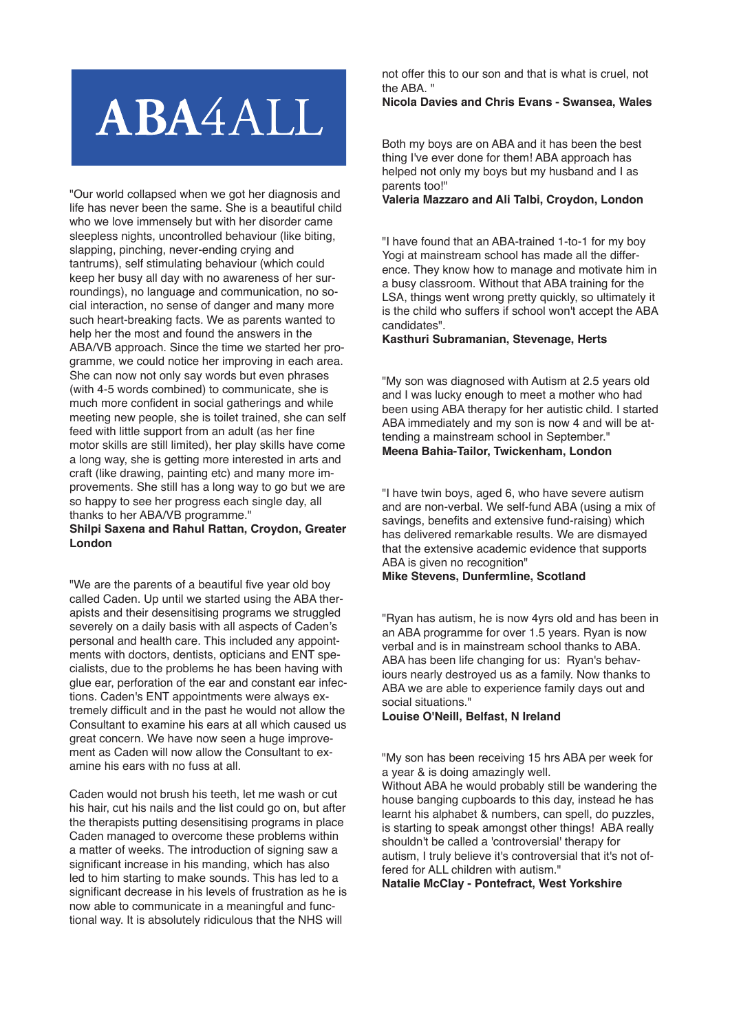"Our world collapsed when we got her diagnosis and life has never been the same. She is a beautiful child who we love immensely but with her disorder came sleepless nights, uncontrolled behaviour (like biting, slapping, pinching, never-ending crying and tantrums), self stimulating behaviour (which could keep her busy all day with no awareness of her surroundings), no language and communication, no social interaction, no sense of danger and many more such heart-breaking facts. We as parents wanted to help her the most and found the answers in the ABA/VB approach. Since the time we started her programme, we could notice her improving in each area. She can now not only say words but even phrases (with 4-5 words combined) to communicate, she is much more confident in social gatherings and while meeting new people, she is toilet trained, she can self feed with little support from an adult (as her fine motor skills are still limited), her play skills have come a long way, she is getting more interested in arts and craft (like drawing, painting etc) and many more improvements. She still has a long way to go but we are so happy to see her progress each single day, all thanks to her ABA/VB programme."

#### **Shilpi Saxena and Rahul Rattan, Croydon, Greater London**

"We are the parents of a beautiful five year old boy called Caden. Up until we started using the ABA therapists and their desensitising programs we struggled severely on a daily basis with all aspects of Caden's personal and health care. This included any appointments with doctors, dentists, opticians and eNT specialists, due to the problems he has been having with glue ear, perforation of the ear and constant ear infections. Caden's ENT appointments were always extremely difficult and in the past he would not allow the Consultant to examine his ears at all which caused us great concern. We have now seen a huge improvement as Caden will now allow the Consultant to examine his ears with no fuss at all.

Caden would not brush his teeth, let me wash or cut his hair, cut his nails and the list could go on, but after the therapists putting desensitising programs in place Caden managed to overcome these problems within a matter of weeks. The introduction of signing saw a significant increase in his manding, which has also led to him starting to make sounds. This has led to a significant decrease in his levels of frustration as he is now able to communicate in a meaningful and functional way. It is absolutely ridiculous that the NHS will

not offer this to our son and that is what is cruel, not the ABA. "

#### **Nicola Davies and Chris Evans - Swansea, Wales**

Both my boys are on ABA and it has been the best thing I've ever done for them! ABA approach has helped not only my boys but my husband and I as parents too!"

**Valeria Mazzaro and Ali Talbi, Croydon, London**

"I have found that an ABA-trained 1-to-1 for my boy Yogi at mainstream school has made all the difference. They know how to manage and motivate him in a busy classroom. Without that ABA training for the LSA, things went wrong pretty quickly, so ultimately it is the child who suffers if school won't accept the ABA candidates".

**Kasthuri Subramanian, Stevenage, Herts**

"My son was diagnosed with Autism at 2.5 years old and I was lucky enough to meet a mother who had been using ABA therapy for her autistic child. I started ABA immediately and my son is now 4 and will be attending a mainstream school in September." **Meena Bahia-Tailor, Twickenham, London**

"I have twin boys, aged 6, who have severe autism and are non-verbal. We self-fund ABA (using a mix of savings, benefits and extensive fund-raising) which has delivered remarkable results. We are dismayed that the extensive academic evidence that supports ABA is given no recognition"

#### **Mike Stevens, Dunfermline, Scotland**

"Ryan has autism, he is now 4yrs old and has been in an ABA programme for over 1.5 years. Ryan is now verbal and is in mainstream school thanks to ABA. ABA has been life changing for us: Ryan's behaviours nearly destroyed us as a family. Now thanks to ABA we are able to experience family days out and social situations."

#### **Louise O'Neill, Belfast, N Ireland**

"My son has been receiving 15 hrs ABA per week for a year & is doing amazingly well.

Without ABA he would probably still be wandering the house banging cupboards to this day, instead he has learnt his alphabet & numbers, can spell, do puzzles, is starting to speak amongst other things! ABA really shouldn't be called a 'controversial' therapy for autism, I truly believe it's controversial that it's not offered for ALL children with autism."

**Natalie McClay - Pontefract, West Yorkshire**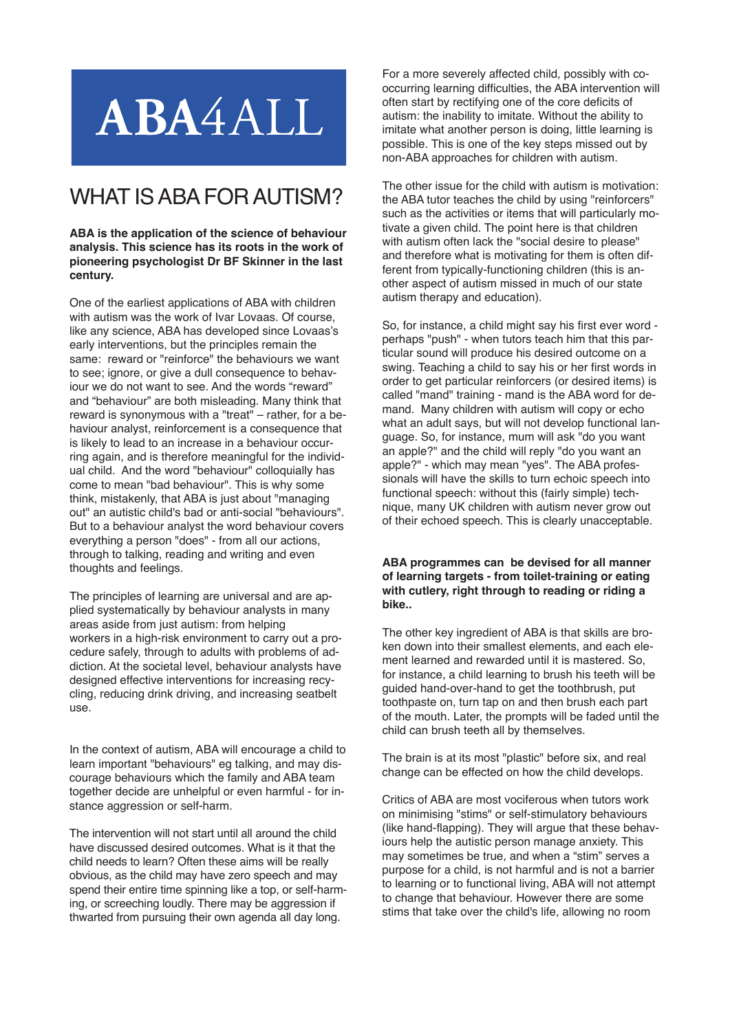### WHAT IS ABA FOR AUTISM?

#### **ABA is the application of the science of behaviour analysis. This science has its roots in the work of pioneering psychologist Dr BF Skinner in the last century.**

One of the earliest applications of ABA with children with autism was the work of Ivar Lovaas. Of course, like any science, ABA has developed since Lovaas's early interventions, but the principles remain the same: reward or "reinforce" the behaviours we want to see; ignore, or give a dull consequence to behaviour we do not want to see. And the words "reward" and "behaviour" are both misleading. Many think that reward is synonymous with a "treat" – rather, for a behaviour analyst, reinforcement is a consequence that is likely to lead to an increase in a behaviour occurring again, and is therefore meaningful for the individual child. And the word "behaviour" colloquially has come to mean "bad behaviour". This is why some think, mistakenly, that ABA is just about "managing out" an autistic child's bad or anti-social "behaviours". But to a behaviour analyst the word behaviour covers everything a person "does" - from all our actions, through to talking, reading and writing and even thoughts and feelings.

The principles of learning are universal and are applied systematically by behaviour analysts in many areas aside from just autism: from helping workers in a high-risk environment to carry out a procedure safely, through to adults with problems of addiction. At the societal level, behaviour analysts have designed effective interventions for increasing recycling, reducing drink driving, and increasing seatbelt use.

In the context of autism, ABA will encourage a child to learn important "behaviours" eg talking, and may discourage behaviours which the family and ABA team together decide are unhelpful or even harmful - for instance aggression or self-harm.

The intervention will not start until all around the child have discussed desired outcomes. What is it that the child needs to learn? Often these aims will be really obvious, as the child may have zero speech and may spend their entire time spinning like a top, or self-harming, or screeching loudly. There may be aggression if thwarted from pursuing their own agenda all day long.

For a more severely affected child, possibly with cooccurring learning difficulties, the ABA intervention will often start by rectifying one of the core deficits of autism: the inability to imitate. Without the ability to imitate what another person is doing, little learning is possible. This is one of the key steps missed out by non-ABA approaches for children with autism.

The other issue for the child with autism is motivation: the ABA tutor teaches the child by using "reinforcers" such as the activities or items that will particularly motivate a given child. The point here is that children with autism often lack the "social desire to please" and therefore what is motivating for them is often different from typically-functioning children (this is another aspect of autism missed in much of our state autism therapy and education).

So, for instance, a child might say his first ever word perhaps "push" - when tutors teach him that this particular sound will produce his desired outcome on a swing. Teaching a child to say his or her first words in order to get particular reinforcers (or desired items) is called "mand" training - mand is the ABA word for demand. Many children with autism will copy or echo what an adult says, but will not develop functional language. So, for instance, mum will ask "do you want an apple?" and the child will reply "do you want an apple?" - which may mean "yes". The ABA professionals will have the skills to turn echoic speech into functional speech: without this (fairly simple) technique, many UK children with autism never grow out of their echoed speech. This is clearly unacceptable.

**ABA programmes can be devised for all manner of learning targets - from toilet-training or eating with cutlery, right through to reading or riding a bike..**

The other key ingredient of ABA is that skills are broken down into their smallest elements, and each element learned and rewarded until it is mastered. So, for instance, a child learning to brush his teeth will be guided hand-over-hand to get the toothbrush, put toothpaste on, turn tap on and then brush each part of the mouth. Later, the prompts will be faded until the child can brush teeth all by themselves.

The brain is at its most "plastic" before six, and real change can be effected on how the child develops.

Critics of ABA are most vociferous when tutors work on minimising "stims" or self-stimulatory behaviours (like hand-flapping). They will argue that these behaviours help the autistic person manage anxiety. This may sometimes be true, and when a "stim" serves a purpose for a child, is not harmful and is not a barrier to learning or to functional living, ABA will not attempt to change that behaviour. However there are some stims that take over the child's life, allowing no room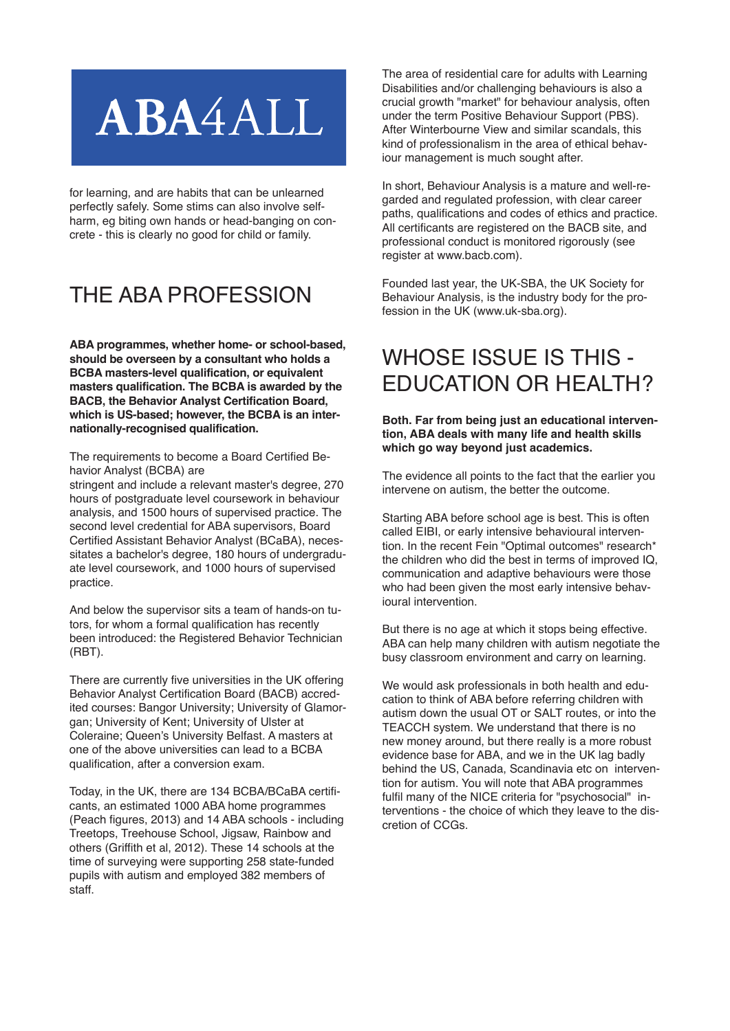for learning, and are habits that can be unlearned perfectly safely. Some stims can also involve selfharm, eg biting own hands or head-banging on concrete - this is clearly no good for child or family.

### THe ABA pROFeSSION

**ABA programmes, whether home- or school-based, should be overseen by a consultant who holds a BCBA masters-level qualification, or equivalent masters qualification. The BCBA is awarded by the BACB, the Behavior Analyst Certification Board, which is US-based; however, the BCBA is an internationally-recognised qualification.**

The requirements to become a Board Certified Behavior Analyst (BCBA) are

stringent and include a relevant master's degree, 270 hours of postgraduate level coursework in behaviour analysis, and 1500 hours of supervised practice. The second level credential for ABA supervisors, Board Certified Assistant Behavior Analyst (BCaBA), necessitates a bachelor's degree, 180 hours of undergraduate level coursework, and 1000 hours of supervised practice.

And below the supervisor sits a team of hands-on tutors, for whom a formal qualification has recently been introduced: the Registered Behavior Technician (RBT).

There are currently five universities in the UK offering Behavior Analyst Certification Board (BACB) accredited courses: Bangor University; University of Glamorgan; University of Kent; University of Ulster at Coleraine; Queen's University Belfast. A masters at one of the above universities can lead to a BCBA qualification, after a conversion exam.

Today, in the UK, there are 134 BCBA/BCaBA certificants, an estimated 1000 ABA home programmes (peach figures, 2013) and 14 ABA schools - including Treetops, Treehouse School, Jigsaw, Rainbow and others (griffith et al, 2012). These 14 schools at the time of surveying were supporting 258 state-funded pupils with autism and employed 382 members of staff.

The area of residential care for adults with Learning Disabilities and/or challenging behaviours is also a crucial growth "market" for behaviour analysis, often under the term Positive Behaviour Support (PBS). After Winterbourne View and similar scandals, this kind of professionalism in the area of ethical behaviour management is much sought after.

In short, Behaviour Analysis is a mature and well-regarded and regulated profession, with clear career paths, qualifications and codes of ethics and practice. All certificants are registered on the BACB site, and professional conduct is monitored rigorously (see register at www.bacb.com).

Founded last year, the UK-SBA, the UK Society for Behaviour Analysis, is the industry body for the profession in the UK (www.uk-sba.org).

### WHOSe ISSUe IS THIS eDUCATION OR HeALTH?

**Both. Far from being just an educational intervention, ABA deals with many life and health skills which go way beyond just academics.**

The evidence all points to the fact that the earlier you intervene on autism, the better the outcome.

Starting ABA before school age is best. This is often called EIBI, or early intensive behavioural intervention. In the recent Fein "Optimal outcomes" research\* the children who did the best in terms of improved IQ, communication and adaptive behaviours were those who had been given the most early intensive behavioural intervention.

But there is no age at which it stops being effective. ABA can help many children with autism negotiate the busy classroom environment and carry on learning.

We would ask professionals in both health and education to think of ABA before referring children with autism down the usual OT or SALT routes, or into the TeACCH system. We understand that there is no new money around, but there really is a more robust evidence base for ABA, and we in the UK lag badly behind the US, Canada, Scandinavia etc on intervention for autism. You will note that ABA programmes fulfil many of the NICE criteria for "psychosocial" interventions - the choice of which they leave to the discretion of CCGs.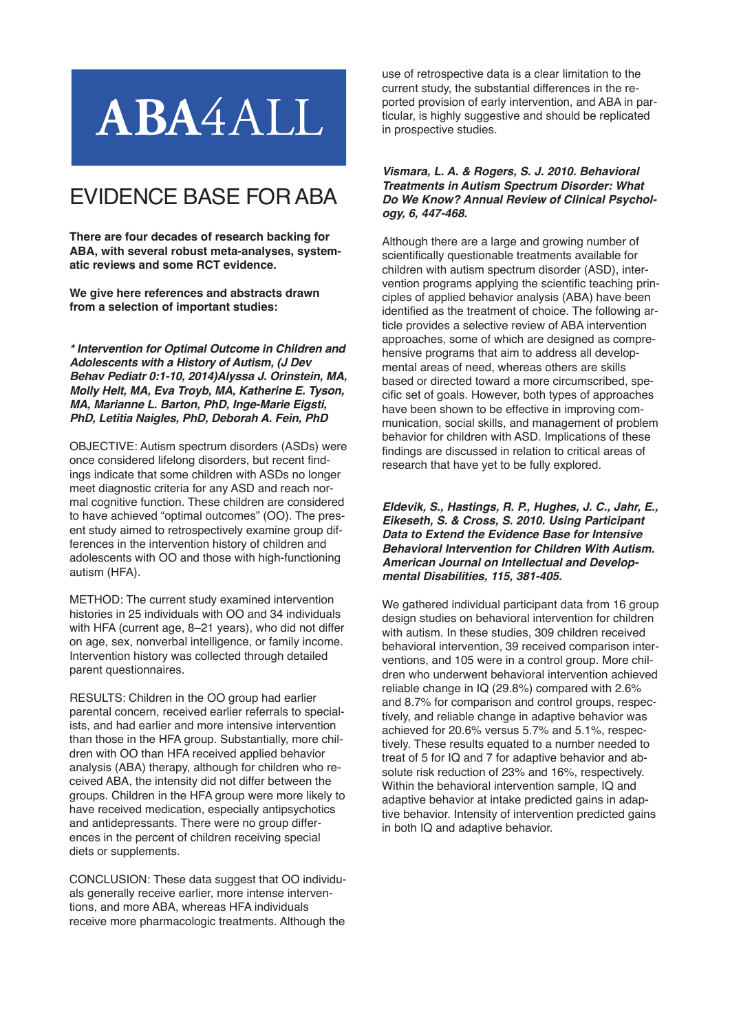### eVIDeNCe BASe FOR ABA

**There are four decades of research backing for ABA, with several robust meta-analyses, systematic reviews and some RCT evidence.**

**We give here references and abstracts drawn from a selection of important studies:**

**\* Intervention for Optimal Outcome in Children and Adolescents with a History of Autism, (J Dev Behav Pediatr 0:1-10, 2014)Alyssa J. Orinstein, MA, Molly Helt, MA, Eva Troyb, MA, Katherine E. Tyson, MA, Marianne L. Barton, PhD, Inge-Marie Eigsti, PhD, Letitia Naigles, PhD, Deborah A. Fein, PhD**

OBJECTIVE: Autism spectrum disorders (ASDs) were once considered lifelong disorders, but recent findings indicate that some children with ASDs no longer meet diagnostic criteria for any ASD and reach normal cognitive function. These children are considered to have achieved "optimal outcomes" (OO). The present study aimed to retrospectively examine group differences in the intervention history of children and adolescents with OO and those with high-functioning autism (HFA).

MeTHOD: The current study examined intervention histories in 25 individuals with OO and 34 individuals with HFA (current age, 8–21 years), who did not differ on age, sex, nonverbal intelligence, or family income. Intervention history was collected through detailed parent questionnaires.

ReSULTS: Children in the OO group had earlier parental concern, received earlier referrals to specialists, and had earlier and more intensive intervention than those in the HFA group. Substantially, more children with OO than HFA received applied behavior analysis (ABA) therapy, although for children who received ABA, the intensity did not differ between the groups. Children in the HFA group were more likely to have received medication, especially antipsychotics and antidepressants. There were no group differences in the percent of children receiving special diets or supplements.

CONCLUSION: These data suggest that OO individuals generally receive earlier, more intense interventions, and more ABA, whereas HFA individuals receive more pharmacologic treatments. Although the

use of retrospective data is a clear limitation to the current study, the substantial differences in the reported provision of early intervention, and ABA in particular, is highly suggestive and should be replicated in prospective studies.

#### **Vismara, L. A. & Rogers, S. J. 2010. Behavioral Treatments in Autism Spectrum Disorder: What Do We Know? Annual Review of Clinical Psychology, 6, 447-468.**

Although there are a large and growing number of scientifically questionable treatments available for children with autism spectrum disorder (ASD), intervention programs applying the scientific teaching principles of applied behavior analysis (ABA) have been identified as the treatment of choice. The following article provides a selective review of ABA intervention approaches, some of which are designed as comprehensive programs that aim to address all developmental areas of need, whereas others are skills based or directed toward a more circumscribed, specific set of goals. However, both types of approaches have been shown to be effective in improving communication, social skills, and management of problem behavior for children with ASD. Implications of these findings are discussed in relation to critical areas of research that have yet to be fully explored.

**Eldevik, S., Hastings, R. P., Hughes, J. C., Jahr, E., Eikeseth, S. & Cross, S. 2010. Using Participant Data to Extend the Evidence Base for Intensive Behavioral Intervention for Children With Autism. American Journal on Intellectual and Developmental Disabilities, 115, 381-405.**

We gathered individual participant data from 16 group design studies on behavioral intervention for children with autism. In these studies, 309 children received behavioral intervention, 39 received comparison interventions, and 105 were in a control group. More children who underwent behavioral intervention achieved reliable change in IQ (29.8%) compared with 2.6% and 8.7% for comparison and control groups, respectively, and reliable change in adaptive behavior was achieved for 20.6% versus 5.7% and 5.1%, respectively. These results equated to a number needed to treat of 5 for IQ and 7 for adaptive behavior and absolute risk reduction of 23% and 16%, respectively. Within the behavioral intervention sample, IQ and adaptive behavior at intake predicted gains in adaptive behavior. Intensity of intervention predicted gains in both IQ and adaptive behavior.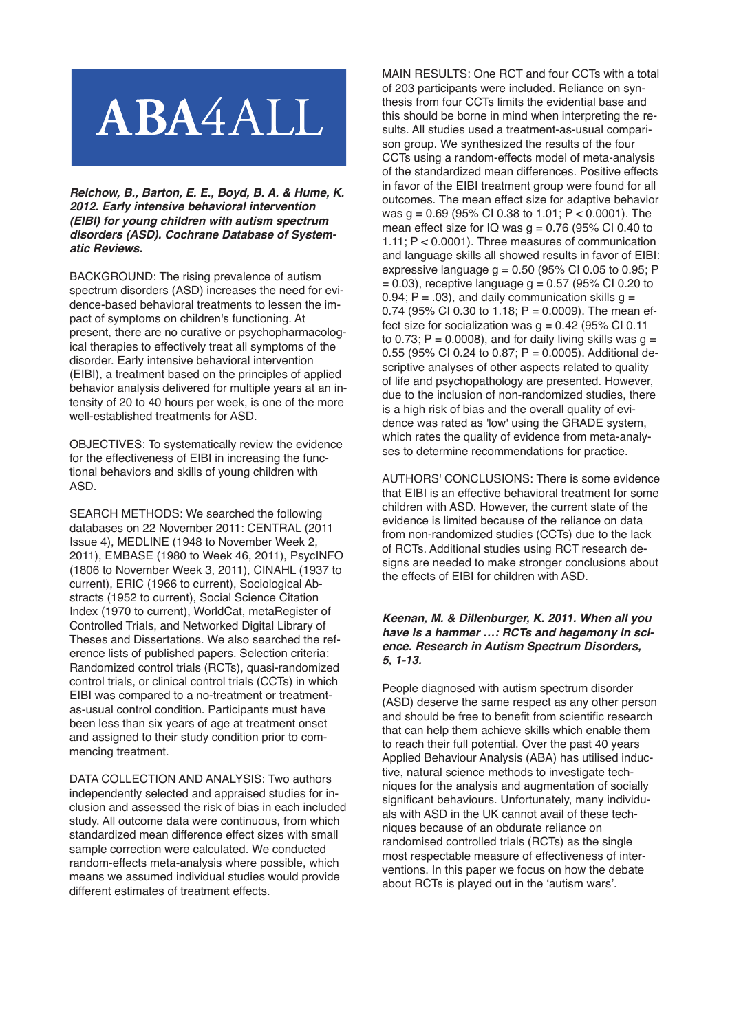**Reichow, B., Barton, E. E., Boyd, B. A. & Hume, K. 2012. Early intensive behavioral intervention (EIBI) for young children with autism spectrum disorders (ASD). Cochrane Database of Systematic Reviews.**

BACKgROUND: The rising prevalence of autism spectrum disorders (ASD) increases the need for evidence-based behavioral treatments to lessen the impact of symptoms on children's functioning. At present, there are no curative or psychopharmacological therapies to effectively treat all symptoms of the disorder. Early intensive behavioral intervention (eIBI), a treatment based on the principles of applied behavior analysis delivered for multiple years at an intensity of 20 to 40 hours per week, is one of the more well-established treatments for ASD.

OBJECTIVES: To systematically review the evidence for the effectiveness of EIBI in increasing the functional behaviors and skills of young children with ASD.

SeARCH MeTHODS: We searched the following databases on 22 November 2011: CeNTRAL (2011 Issue 4), MeDLINe (1948 to November Week 2, 2011), eMBASe (1980 to Week 46, 2011), psycINFO (1806 to November Week 3, 2011), CINAHL (1937 to current), ERIC (1966 to current), Sociological Abstracts (1952 to current), Social Science Citation Index (1970 to current), WorldCat, metaRegister of Controlled Trials, and Networked Digital Library of Theses and Dissertations. We also searched the reference lists of published papers. Selection criteria: Randomized control trials (RCTs), quasi-randomized control trials, or clinical control trials (CCTs) in which EIBI was compared to a no-treatment or treatmentas-usual control condition. Participants must have been less than six years of age at treatment onset and assigned to their study condition prior to commencing treatment.

DATA COLLECTION AND ANALYSIS: Two authors independently selected and appraised studies for inclusion and assessed the risk of bias in each included study. All outcome data were continuous, from which standardized mean difference effect sizes with small sample correction were calculated. We conducted random-effects meta-analysis where possible, which means we assumed individual studies would provide different estimates of treatment effects.

MAIN ReSULTS: One RCT and four CCTs with a total of 203 participants were included. Reliance on synthesis from four CCTs limits the evidential base and this should be borne in mind when interpreting the results. All studies used a treatment-as-usual comparison group. We synthesized the results of the four CCTs using a random-effects model of meta-analysis of the standardized mean differences. positive effects in favor of the EIBI treatment group were found for all outcomes. The mean effect size for adaptive behavior was  $q = 0.69$  (95% CI 0.38 to 1.01; P < 0.0001). The mean effect size for IQ was  $q = 0.76$  (95% CI 0.40 to 1.11; p < 0.0001). Three measures of communication and language skills all showed results in favor of EIBI: expressive language  $g = 0.50$  (95% CI 0.05 to 0.95; P  $= 0.03$ ), receptive language g  $= 0.57$  (95% CI 0.20 to 0.94; P = .03), and daily communication skills  $q =$ 0.74 (95% CI 0.30 to 1.18;  $P = 0.0009$ ). The mean effect size for socialization was  $g = 0.42$  (95% CI 0.11) to 0.73;  $P = 0.0008$ , and for daily living skills was  $q =$ 0.55 (95% CI 0.24 to 0.87;  $P = 0.0005$ ). Additional descriptive analyses of other aspects related to quality of life and psychopathology are presented. However, due to the inclusion of non-randomized studies, there is a high risk of bias and the overall quality of evidence was rated as 'low' using the GRADE system. which rates the quality of evidence from meta-analyses to determine recommendations for practice.

AUTHORS' CONCLUSIONS: There is some evidence that FIBI is an effective behavioral treatment for some children with ASD. However, the current state of the evidence is limited because of the reliance on data from non-randomized studies (CCTs) due to the lack of RCTs. Additional studies using RCT research designs are needed to make stronger conclusions about the effects of EIBI for children with ASD.

#### **Keenan, M. & Dillenburger, K. 2011. When all you have is a hammer …: RCTs and hegemony in science. Research in Autism Spectrum Disorders, 5, 1-13.**

people diagnosed with autism spectrum disorder (ASD) deserve the same respect as any other person and should be free to benefit from scientific research that can help them achieve skills which enable them to reach their full potential. Over the past 40 years Applied Behaviour Analysis (ABA) has utilised inductive, natural science methods to investigate techniques for the analysis and augmentation of socially significant behaviours. Unfortunately, many individuals with ASD in the UK cannot avail of these techniques because of an obdurate reliance on randomised controlled trials (RCTs) as the single most respectable measure of effectiveness of interventions. In this paper we focus on how the debate about RCTs is played out in the 'autism wars'.